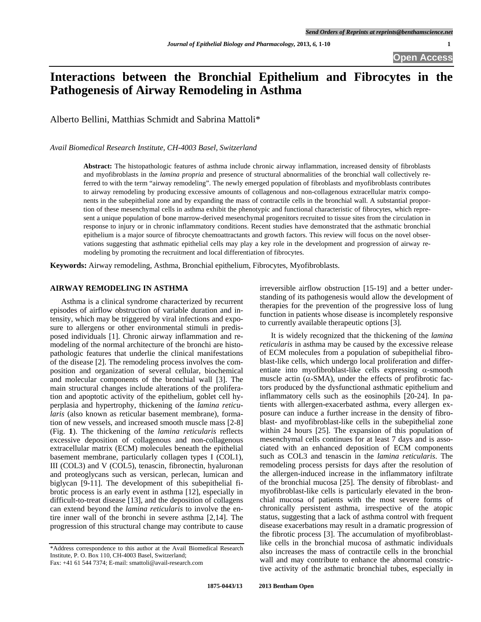# **Interactions between the Bronchial Epithelium and Fibrocytes in the Pathogenesis of Airway Remodeling in Asthma**

Alberto Bellini, Matthias Schmidt and Sabrina Mattoli\*

*Avail Biomedical Research Institute, CH-4003 Basel, Switzerland* 

**Abstract:** The histopathologic features of asthma include chronic airway inflammation, increased density of fibroblasts and myofibroblasts in the *lamina propria* and presence of structural abnormalities of the bronchial wall collectively referred to with the term "airway remodeling". The newly emerged population of fibroblasts and myofibroblasts contributes to airway remodeling by producing excessive amounts of collagenous and non-collagenous extracellular matrix components in the subepithelial zone and by expanding the mass of contractile cells in the bronchial wall. A substantial proportion of these mesenchymal cells in asthma exhibit the phenotypic and functional characteristic of fibrocytes, which represent a unique population of bone marrow-derived mesenchymal progenitors recruited to tissue sites from the circulation in response to injury or in chronic inflammatory conditions. Recent studies have demonstrated that the asthmatic bronchial epithelium is a major source of fibrocyte chemoattractants and growth factors. This review will focus on the novel observations suggesting that asthmatic epithelial cells may play a key role in the development and progression of airway remodeling by promoting the recruitment and local differentiation of fibrocytes.

**Keywords:** Airway remodeling, Asthma, Bronchial epithelium, Fibrocytes, Myofibroblasts.

## **AIRWAY REMODELING IN ASTHMA**

 Asthma is a clinical syndrome characterized by recurrent episodes of airflow obstruction of variable duration and intensity, which may be triggered by viral infections and exposure to allergens or other environmental stimuli in predisposed individuals [1]. Chronic airway inflammation and remodeling of the normal architecture of the bronchi are histopathologic features that underlie the clinical manifestations of the disease [2]. The remodeling process involves the composition and organization of several cellular, biochemical and molecular components of the bronchial wall [3]. The main structural changes include alterations of the proliferation and apoptotic activity of the epithelium, goblet cell hyperplasia and hypertrophy, thickening of the *lamina reticularis* (also known as reticular basement membrane), formation of new vessels, and increased smooth muscle mass [2-8] (Fig. **1**). The thickening of the *lamina reticularis* reflects excessive deposition of collagenous and non-collagenous extracellular matrix (ECM) molecules beneath the epithelial basement membrane, particularly collagen types I (COL1), III (COL3) and V (COL5), tenascin, fibronectin, hyaluronan and proteoglycans such as versican, perlecan, lumican and biglycan [9-11]. The development of this subepithelial fibrotic process is an early event in asthma [12], especially in difficult-to-treat disease [13], and the deposition of collagens can extend beyond the *lamina reticularis* to involve the entire inner wall of the bronchi in severe asthma [2,14]. The progression of this structural change may contribute to cause

irreversible airflow obstruction [15-19] and a better understanding of its pathogenesis would allow the development of therapies for the prevention of the progressive loss of lung function in patients whose disease is incompletely responsive to currently available therapeutic options [3].

 It is widely recognized that the thickening of the *lamina reticularis* in asthma may be caused by the excessive release of ECM molecules from a population of subepithelial fibroblast-like cells, which undergo local proliferation and differentiate into myofibroblast-like cells expressing  $\alpha$ -smooth muscle actin ( $\alpha$ -SMA), under the effects of profibrotic factors produced by the dysfunctional asthmatic epithelium and inflammatory cells such as the eosinophils [20-24]. In patients with allergen-exacerbated asthma, every allergen exposure can induce a further increase in the density of fibroblast- and myofibroblast-like cells in the subepithelial zone within 24 hours [25]. The expansion of this population of mesenchymal cells continues for at least 7 days and is associated with an enhanced deposition of ECM components such as COL3 and tenascin in the *lamina reticularis*. The remodeling process persists for days after the resolution of the allergen-induced increase in the inflammatory infiltrate of the bronchial mucosa [25]. The density of fibroblast- and myofibroblast-like cells is particularly elevated in the bronchial mucosa of patients with the most severe forms of chronically persistent asthma, irrespective of the atopic status, suggesting that a lack of asthma control with frequent disease exacerbations may result in a dramatic progression of the fibrotic process [3]. The accumulation of myofibroblastlike cells in the bronchial mucosa of asthmatic individuals also increases the mass of contractile cells in the bronchial wall and may contribute to enhance the abnormal constrictive activity of the asthmatic bronchial tubes, especially in

<sup>\*</sup>Address correspondence to this author at the Avail Biomedical Research Institute, P. O. Box 110, CH-4003 Basel, Switzerland;

Fax: +41 61 544 7374; E-mail: smattoli@avail-research.com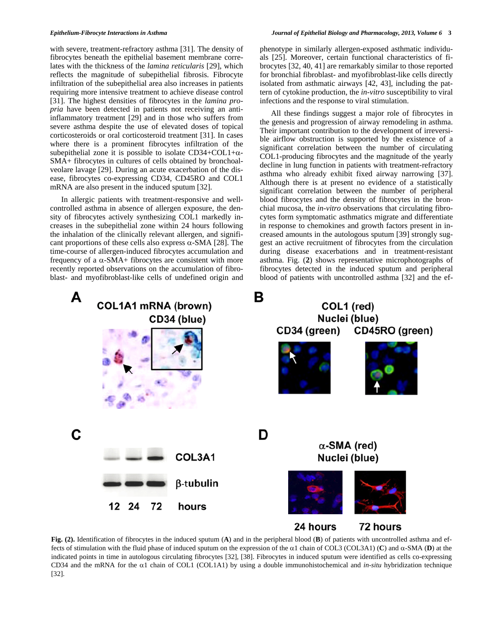with severe, treatment-refractory asthma [31]. The density of fibrocytes beneath the epithelial basement membrane correlates with the thickness of the *lamina reticularis* [29], which reflects the magnitude of subepithelial fibrosis. Fibrocyte infiltration of the subepithelial area also increases in patients requiring more intensive treatment to achieve disease control [31]. The highest densities of fibrocytes in the *lamina propria* have been detected in patients not receiving an antiinflammatory treatment [29] and in those who suffers from severe asthma despite the use of elevated doses of topical corticosteroids or oral corticosteroid treatment [31]. In cases where there is a prominent fibrocytes infiltration of the subepithelial zone it is possible to isolate CD34+COL1+ $\alpha$ -SMA+ fibrocytes in cultures of cells obtained by bronchoalveolare lavage [29]. During an acute exacerbation of the disease, fibrocytes co-expressing CD34, CD45RO and COL1 mRNA are also present in the induced sputum [32].

 In allergic patients with treatment-responsive and wellcontrolled asthma in absence of allergen exposure, the density of fibrocytes actively synthesizing COL1 markedly increases in the subepithelial zone within 24 hours following the inhalation of the clinically relevant allergen, and significant proportions of these cells also express  $\alpha$ -SMA [28]. The time-course of allergen-induced fibrocytes accumulation and frequency of a  $\alpha$ -SMA+ fibrocytes are consistent with more recently reported observations on the accumulation of fibroblast- and myofibroblast-like cells of undefined origin and phenotype in similarly allergen-exposed asthmatic individuals [25]. Moreover, certain functional characteristics of fibrocytes [32, 40, 41] are remarkably similar to those reported for bronchial fibroblast- and myofibroblast-like cells directly isolated from asthmatic airways [42, 43], including the pattern of cytokine production, the *in-vitro* susceptibility to viral infections and the response to viral stimulation.

 All these findings suggest a major role of fibrocytes in the genesis and progression of airway remodeling in asthma. Their important contribution to the development of irreversible airflow obstruction is supported by the existence of a significant correlation between the number of circulating COL1-producing fibrocytes and the magnitude of the yearly decline in lung function in patients with treatment-refractory asthma who already exhibit fixed airway narrowing [37]. Although there is at present no evidence of a statistically significant correlation between the number of peripheral blood fibrocytes and the density of fibrocytes in the bronchial mucosa, the *in-vitro* observations that circulating fibrocytes form symptomatic asthmatics migrate and differentiate in response to chemokines and growth factors present in increased amounts in the autologous sputum [39] strongly suggest an active recruitment of fibrocytes from the circulation during disease exacerbations and in treatment-resistant asthma. Fig. (**2**) shows representative microphotographs of fibrocytes detected in the induced sputum and peripheral blood of patients with uncontrolled asthma [32] and the ef-



**Fig. (2).** Identification of fibrocytes in the induced sputum (**A**) and in the peripheral blood (**B**) of patients with uncontrolled asthma and effects of stimulation with the fluid phase of induced sputum on the expression of the  $\alpha$ 1 chain of COL3 (COL3A1) (C) and  $\alpha$ -SMA (D) at the indicated points in time in autologous circulating fibrocytes [32], [38]. Fibrocytes in induced sputum were identified as cells co-expressing CD34 and the mRNA for the  $\alpha$ 1 chain of COL1 (COL1A1) by using a double immunohistochemical and *in-situ* hybridization technique [32].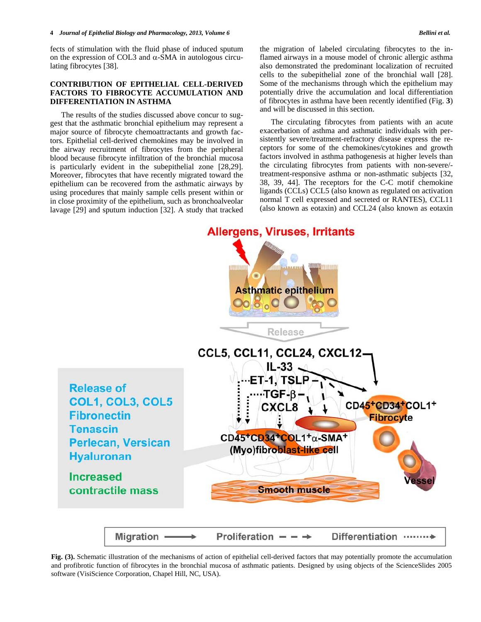fects of stimulation with the fluid phase of induced sputum on the expression of COL3 and  $\alpha$ -SMA in autologous circulating fibrocytes [38].

# **CONTRIBUTION OF EPITHELIAL CELL-DERIVED FACTORS TO FIBROCYTE ACCUMULATION AND DIFFERENTIATION IN ASTHMA**

 The results of the studies discussed above concur to suggest that the asthmatic bronchial epithelium may represent a major source of fibrocyte chemoattractants and growth factors. Epithelial cell-derived chemokines may be involved in the airway recruitment of fibrocytes from the peripheral blood because fibrocyte infiltration of the bronchial mucosa is particularly evident in the subepithelial zone [28,29]. Moreover, fibrocytes that have recently migrated toward the epithelium can be recovered from the asthmatic airways by using procedures that mainly sample cells present within or in close proximity of the epithelium, such as bronchoalveolar lavage [29] and sputum induction [32]. A study that tracked the migration of labeled circulating fibrocytes to the inflamed airways in a mouse model of chronic allergic asthma also demonstrated the predominant localization of recruited cells to the subepithelial zone of the bronchial wall [28]. Some of the mechanisms through which the epithelium may potentially drive the accumulation and local differentiation of fibrocytes in asthma have been recently identified (Fig. **3**) and will be discussed in this section.

 The circulating fibrocytes from patients with an acute exacerbation of asthma and asthmatic individuals with persistently severe/treatment-refractory disease express the receptors for some of the chemokines/cytokines and growth factors involved in asthma pathogenesis at higher levels than the circulating fibrocytes from patients with non-severe/ treatment-responsive asthma or non-asthmatic subjects [32, 38, 39, 44]. The receptors for the C-C motif chemokine ligands (CCLs) CCL5 (also known as regulated on activation normal T cell expressed and secreted or RANTES), CCL11 (also known as eotaxin) and CCL24 (also known as eotaxin

**Allergens, Viruses, Irritants** 



**Fig. (3).** Schematic illustration of the mechanisms of action of epithelial cell-derived factors that may potentially promote the accumulation and profibrotic function of fibrocytes in the bronchial mucosa of asthmatic patients. Designed by using objects of the ScienceSlides 2005 software (VisiScience Corporation, Chapel Hill, NC, USA).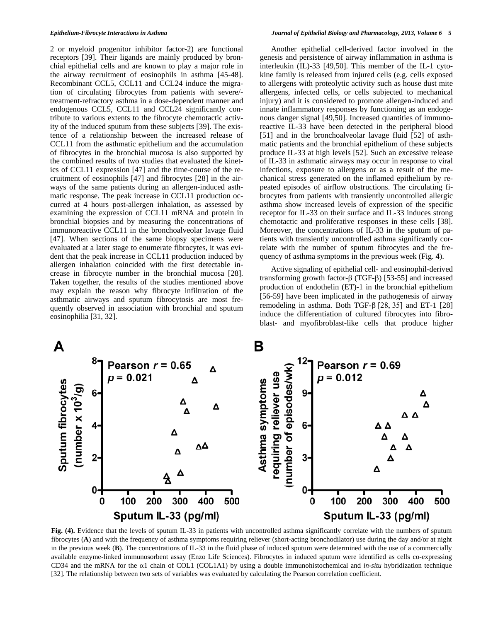2 or myeloid progenitor inhibitor factor-2) are functional receptors [39]. Their ligands are mainly produced by bronchial epithelial cells and are known to play a major role in the airway recruitment of eosinophils in asthma [45-48]. Recombinant CCL5, CCL11 and CCL24 induce the migration of circulating fibrocytes from patients with severe/ treatment-refractory asthma in a dose-dependent manner and endogenous CCL5, CCL11 and CCL24 significantly contribute to various extents to the fibrocyte chemotactic activity of the induced sputum from these subjects [39]. The existence of a relationship between the increased release of CCL11 from the asthmatic epithelium and the accumulation of fibrocytes in the bronchial mucosa is also supported by the combined results of two studies that evaluated the kinetics of CCL11 expression [47] and the time-course of the recruitment of eosinophils [47] and fibrocytes [28] in the airways of the same patients during an allergen-induced asthmatic response. The peak increase in CCL11 production occurred at 4 hours post-allergen inhalation, as assessed by examining the expression of CCL11 mRNA and protein in bronchial biopsies and by measuring the concentrations of immunoreactive CCL11 in the bronchoalveolar lavage fluid [47]. When sections of the same biopsy specimens were evaluated at a later stage to enumerate fibrocytes, it was evident that the peak increase in CCL11 production induced by allergen inhalation coincided with the first detectable increase in fibrocyte number in the bronchial mucosa [28]. Taken together, the results of the studies mentioned above may explain the reason why fibrocyte infiltration of the asthmatic airways and sputum fibrocytosis are most frequently observed in association with bronchial and sputum eosinophilia [31, 32].

 Another epithelial cell-derived factor involved in the genesis and persistence of airway inflammation in asthma is interleukin (IL)-33 [49,50]. This member of the IL-1 cytokine family is released from injured cells (e.g. cells exposed to allergens with proteolytic activity such as house dust mite allergens, infected cells, or cells subjected to mechanical injury) and it is considered to promote allergen-induced and innate inflammatory responses by functioning as an endogenous danger signal [49,50]. Increased quantities of immunoreactive IL-33 have been detected in the peripheral blood [51] and in the bronchoalveolar lavage fluid [52] of asthmatic patients and the bronchial epithelium of these subjects produce IL-33 at high levels [52]. Such an excessive release of IL-33 in asthmatic airways may occur in response to viral infections, exposure to allergens or as a result of the mechanical stress generated on the inflamed epithelium by repeated episodes of airflow obstructions. The circulating fibrocytes from patients with transiently uncontrolled allergic asthma show increased levels of expression of the specific receptor for IL-33 on their surface and IL-33 induces strong chemotactic and proliferative responses in these cells [38]. Moreover, the concentrations of IL-33 in the sputum of patients with transiently uncontrolled asthma significantly correlate with the number of sputum fibrocytes and the frequency of asthma symptoms in the previous week (Fig. **4**).

 Active signaling of epithelial cell- and eosinophil-derived transforming growth factor- $\beta$  (TGF- $\beta$ ) [53-55] and increased production of endothelin (ET)-1 in the bronchial epithelium [56-59] have been implicated in the pathogenesis of airway remodeling in asthma. Both TGF- $\beta$  [28, 35] and ET-1 [28] induce the differentiation of cultured fibrocytes into fibroblast- and myofibroblast-like cells that produce higher



**Fig. (4).** Evidence that the levels of sputum IL-33 in patients with uncontrolled asthma significantly correlate with the numbers of sputum fibrocytes (**A**) and with the frequency of asthma symptoms requiring reliever (short-acting bronchodilator) use during the day and/or at night in the previous week (**B**). The concentrations of IL-33 in the fluid phase of induced sputum were determined with the use of a commercially available enzyme-linked immunosorbent assay (Enzo Life Sciences). Fibrocytes in induced sputum were identified as cells co-expressing CD34 and the mRNA for the  $\alpha$ 1 chain of COL1 (COL1A1) by using a double immunohistochemical and *in-situ* hybridization technique [32]. The relationship between two sets of variables was evaluated by calculating the Pearson correlation coefficient.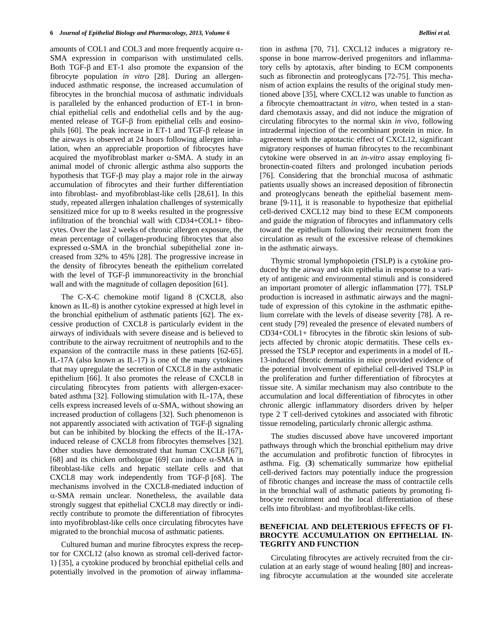amounts of COL1 and COL3 and more frequently acquire  $\alpha$ -SMA expression in comparison with unstimulated cells. Both TGF- $\beta$  and ET-1 also promote the expansion of the fibrocyte population *in vitro* [28]. During an allergeninduced asthmatic response, the increased accumulation of fibrocytes in the bronchial mucosa of asthmatic individuals is paralleled by the enhanced production of ET-1 in bronchial epithelial cells and endothelial cells and by the augmented release of TGF- $\beta$  from epithelial cells and eosinophils  $[60]$ . The peak increase in ET-1 and TGF- $\beta$  release in the airways is observed at 24 hours following allergen inhalation, when an appreciable proportion of fibrocytes have acquired the myofibroblast marker  $\alpha$ -SMA. A study in an animal model of chronic allergic asthma also supports the hypothesis that  $TGF-\beta$  may play a major role in the airway accumulation of fibrocytes and their further differentiation into fibroblast- and myofibroblast-like cells [28,61]. In this study, repeated allergen inhalation challenges of systemically sensitized mice for up to 8 weeks resulted in the progressive infiltration of the bronchial wall with CD34+COL1+ fibrocytes. Over the last 2 weeks of chronic allergen exposure, the mean percentage of collagen-producing fibrocytes that also expressed  $\alpha$ -SMA in the bronchial subepithelial zone increased from 32% to 45% [28]. The progressive increase in the density of fibrocytes beneath the epithelium correlated with the level of TGF- $\beta$  immunoreactivity in the bronchial wall and with the magnitude of collagen deposition [61].

 The C-X-C chemokine motif ligand 8 (CXCL8, also known as IL-8) is another cytokine expressed at high level in the bronchial epithelium of asthmatic patients [62]. The excessive production of CXCL8 is particularly evident in the airways of individuals with severe disease and is believed to contribute to the airway recruitment of neutrophils and to the expansion of the contractile mass in these patients [62-65]. IL-17A (also known as IL-17) is one of the many cytokines that may upregulate the secretion of CXCL8 in the asthmatic epithelium [66]. It also promotes the release of CXCL8 in circulating fibrocytes from patients with allergen-exacerbated asthma [32]. Following stimulation with IL-17A, these cells express increased levels of  $\alpha$ -SMA, without showing an increased production of collagens [32]. Such phenomenon is not apparently associated with activation of TGF- $\beta$  signaling but can be inhibited by blocking the effects of the IL-17Ainduced release of CXCL8 from fibrocytes themselves [32]. Other studies have demonstrated that human CXCL8 [67], [68] and its chicken orthologue [69] can induce  $\alpha$ -SMA in fibroblast-like cells and hepatic stellate cells and that CXCL8 may work independently from TGF- $\beta$  [68]. The mechanisms involved in the CXCL8-mediated induction of -SMA remain unclear. Nonetheless, the available data strongly suggest that epithelial CXCL8 may directly or indirectly contribute to promote the differentiation of fibrocytes into myofibroblast-like cells once circulating fibrocytes have migrated to the bronchial mucosa of asthmatic patients.

 Cultured human and murine fibrocytes express the receptor for CXCL12 (also known as stromal cell-derived factor-1) [35], a cytokine produced by bronchial epithelial cells and potentially involved in the promotion of airway inflammation in asthma [70, 71]. CXCL12 induces a migratory response in bone marrow-derived progenitors and inflammatory cells by aptotaxis, after binding to ECM components such as fibronectin and proteoglycans [72-75]. This mechanism of action explains the results of the original study mentioned above [35], where CXCL12 was unable to function as a fibrocyte chemoattractant *in vitro*, when tested in a standard chemotaxis assay, and did not induce the migration of circulating fibrocytes to the normal skin *in vivo*, following intradermal injection of the recombinant protein in mice. In agreement with the aptotactic effect of CXCL12, significant migratory responses of human fibrocytes to the recombinant cytokine were observed in an *in-vitro* assay employing fibronectin-coated filters and prolonged incubation periods [76]. Considering that the bronchial mucosa of asthmatic patients usually shows an increased deposition of fibronectin and proteoglycans beneath the epithelial basement membrane [9-11], it is reasonable to hypothesize that epithelial cell-derived CXCL12 may bind to these ECM components and guide the migration of fibrocytes and inflammatory cells toward the epithelium following their recruitment from the circulation as result of the excessive release of chemokines in the asthmatic airways.

 Thymic stromal lymphopoietin (TSLP) is a cytokine produced by the airway and skin epithelia in response to a variety of antigenic and environmental stimuli and is considered an important promoter of allergic inflammation [77]. TSLP production is increased in asthmatic airways and the magnitude of expression of this cytokine in the asthmatic epithelium correlate with the levels of disease severity [78]. A recent study [79] revealed the presence of elevated numbers of CD34+COL1+ fibrocytes in the fibrotic skin lesions of subjects affected by chronic atopic dermatitis. These cells expressed the TSLP receptor and experiments in a model of IL-13-induced fibrotic dermatitis in mice provided evidence of the potential involvement of epithelial cell-derived TSLP in the proliferation and further differentiation of fibrocytes at tissue site. A similar mechanism may also contribute to the accumulation and local differentiation of fibrocytes in other chronic allergic inflammatory disorders driven by helper type 2 T cell-derived cytokines and associated with fibrotic tissue remodeling, particularly chronic allergic asthma.

 The studies discussed above have uncovered important pathways through which the bronchial epithelium may drive the accumulation and profibrotic function of fibrocytes in asthma. Fig. (**3**) schematically summarize how epithelial cell-derived factors may potentially induce the progression of fibrotic changes and increase the mass of contractile cells in the bronchial wall of asthmatic patients by promoting fibrocyte recruitment and the local differentiation of these cells into fibroblast- and myofibroblast-like cells.

## **BENEFICIAL AND DELETERIOUS EFFECTS OF FI-BROCYTE ACCUMULATION ON EPITHELIAL IN-TEGRITY AND FUNCTION**

 Circulating fibrocytes are actively recruited from the circulation at an early stage of wound healing [80] and increasing fibrocyte accumulation at the wounded site accelerate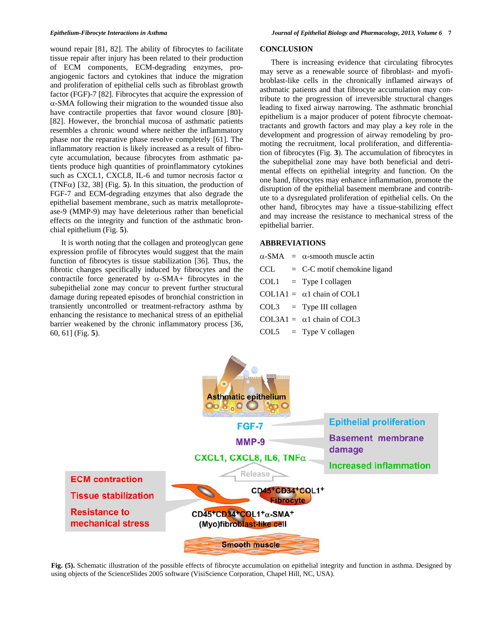wound repair [81, 82]. The ability of fibrocytes to facilitate tissue repair after injury has been related to their production of ECM components, ECM-degrading enzymes, proangiogenic factors and cytokines that induce the migration and proliferation of epithelial cells such as fibroblast growth factor (FGF)-7 [82]. Fibrocytes that acquire the expression of  $\alpha$ -SMA following their migration to the wounded tissue also have contractile properties that favor wound closure [80]- [82]. However, the bronchial mucosa of asthmatic patients resembles a chronic wound where neither the inflammatory phase nor the reparative phase resolve completely [61]. The inflammatory reaction is likely increased as a result of fibrocyte accumulation, because fibrocytes from asthmatic patients produce high quantities of proinflammatory cytokines such as CXCL1, CXCL8, IL-6 and tumor necrosis factor  $\alpha$ (TNF $\alpha$ ) [32, 38] (Fig. 5). In this situation, the production of FGF-7 and ECM-degrading enzymes that also degrade the epithelial basement membrane, such as matrix metalloprotease-9 (MMP-9) may have deleterious rather than beneficial effects on the integrity and function of the asthmatic bronchial epithelium (Fig. **5**).

 It is worth noting that the collagen and proteoglycan gene expression profile of fibrocytes would suggest that the main function of fibrocytes is tissue stabilization [36]. Thus, the fibrotic changes specifically induced by fibrocytes and the contractile force generated by  $\alpha$ -SMA+ fibrocytes in the subepithelial zone may concur to prevent further structural damage during repeated episodes of bronchial constriction in transiently uncontrolled or treatment-refractory asthma by enhancing the resistance to mechanical stress of an epithelial barrier weakened by the chronic inflammatory process [36, 60, 61] (Fig. **5**).

#### **CONCLUSION**

 There is increasing evidence that circulating fibrocytes may serve as a renewable source of fibroblast- and myofibroblast-like cells in the chronically inflamed airways of asthmatic patients and that fibrocyte accumulation may contribute to the progression of irreversible structural changes leading to fixed airway narrowing. The asthmatic bronchial epithelium is a major producer of potent fibrocyte chemoattractants and growth factors and may play a key role in the development and progression of airway remodeling by promoting the recruitment, local proliferation, and differentiation of fibrocytes (Fig. **3**). The accumulation of fibrocytes in the subepithelial zone may have both beneficial and detrimental effects on epithelial integrity and function. On the one hand, fibrocytes may enhance inflammation, promote the disruption of the epithelial basement membrane and contribute to a dysregulated proliferation of epithelial cells. On the other hand, fibrocytes may have a tissue-stabilizing effect and may increase the resistance to mechanical stress of the epithelial barrier.

### **ABBREVIATIONS**

|     | $\alpha$ -SMA = $\alpha$ -smooth muscle actin |
|-----|-----------------------------------------------|
| CCL | $= C-C$ motif chemokine ligand                |
|     | $COL1 = Type I collagen$                      |
|     | $COL1A1 = \alpha1$ chain of COL1              |
|     | $COL3 = Type III$ collagen                    |
|     | $COL3A1 = \alpha1$ chain of COL3              |
|     | $COL5 = Type V$ collagen                      |



**Fig. (5).** Schematic illustration of the possible effects of fibrocyte accumulation on epithelial integrity and function in asthma. Designed by using objects of the ScienceSlides 2005 software (VisiScience Corporation, Chapel Hill, NC, USA).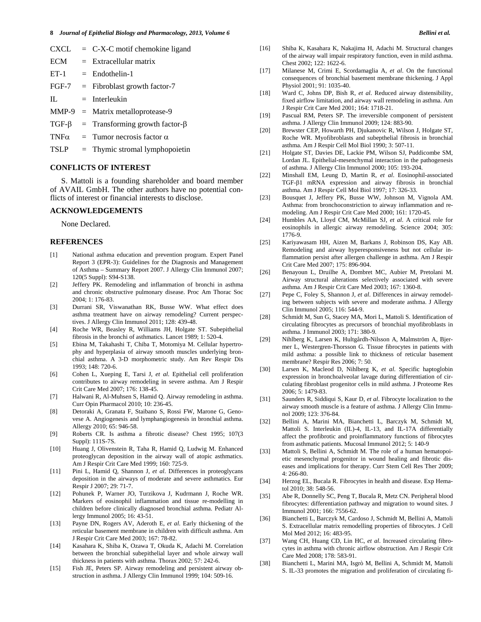| CXCL        | $= C-X-C$ motif chemokine ligand                  |
|-------------|---------------------------------------------------|
| ECM         | $=$ Extracellular matrix                          |
| $ET-1$      | $=$ Endothelin-1                                  |
|             | $FGF-7$ = Fibroblast growth factor-7              |
| $\Pi$ .     | $=$ Interleukin                                   |
|             | $MMP-9$ = Matrix metalloprotease-9                |
|             | $TGF-\beta$ = Transforming growth factor- $\beta$ |
|             | $TNF\alpha$ = Tumor necrosis factor $\alpha$      |
| <b>TSLP</b> | $=$ Thymic stromal lymphopoietin                  |

#### **CONFLICTS OF INTEREST**

 S. Mattoli is a founding shareholder and board member of AVAIL GmbH. The other authors have no potential conflicts of interest or financial interests to disclose.

#### **ACKNOWLEDGEMENTS**

None Declared.

#### **REFERENCES**

- [1] National asthma education and prevention program. Expert Panel Report 3 (EPR-3): Guidelines for the Diagnosis and Management of Asthma – Summary Report 2007. J Allergy Clin Immunol 2007; 120(5 Suppl): S94-S138.
- [2] Jeffery PK. Remodeling and inflammation of bronchi in asthma and chronic obstructive pulmonary disease. Proc Am Thorac Soc 2004; 1: 176-83.
- [3] Durrani SR, Viswanathan RK, Busse WW. What effect does asthma treatment have on airway remodeling? Current perspectives. J Allergy Clin Immunol 2011; 128: 439-48.
- [4] Roche WR, Beasley R, Williams JH, Holgate ST. Subepithelial fibrosis in the bronchi of asthmatics. Lancet 1989; 1: 520-4.
- [5] Ebina M, Takahashi T, Chiba T, Motomiya M. Cellular hypertrophy and hyperplasia of airway smooth muscles underlying bronchial asthma. A 3-D morphometric study. Am Rev Respir Dis 1993; 148: 720-6.
- [6] Cohen L, Xueping E, Tarsi J, *et al*. Epithelial cell proliferation contributes to airway remodeling in severe asthma. Am J Respir Crit Care Med 2007; 176: 138-45.
- [7] Halwani R, Al-Muhsen S, Hamid Q. Airway remodeling in asthma. Curr Opin Pharmacol 2010; 10: 236-45.
- [8] Detoraki A, Granata F, Staibano S, Rossi FW, Marone G, Genovese A. Angiogenesis and lymphangiogenesis in bronchial asthma. Allergy 2010; 65: 946-58.
- [9] Roberts CR. Is asthma a fibrotic disease? Chest 1995; 107(3 Suppl): 111S-7S.
- [10] Huang J, Olivenstein R, Taha R, Hamid Q, Ludwig M. Enhanced proteoglycan deposition in the airway wall of atopic asthmatics. Am J Respir Crit Care Med 1999; 160: 725-9.
- [11] Pini L, Hamid Q, Shannon J, *et al*. Differences in proteoglycans deposition in the airways of moderate and severe asthmatics. Eur Respir J 2007; 29: 71-7.
- [12] Pohunek P, Warner JO, Turzikova J, Kudrmann J, Roche WR. Markers of eosinophil inflammation and tissue re-modelling in children before clinically diagnosed bronchial asthma. Pediatr Allergy Immunol 2005; 16: 43-51.
- [13] Payne DN, Rogers AV, Aderoth E, *et al*. Early thickening of the reticular basement membrane in children with difficult asthma. Am J Respir Crit Care Med 2003; 167: 78-82.
- [14] Kasahara K, Shiba K, Ozawa T, Okuda K, Adachi M. Correlation between the bronchial subepithelial layer and whole airway wall thickness in patients with asthma. Thorax 2002; 57: 242-6.
- [15] Fish JE, Peters SP. Airway remodeling and persistent airway obstruction in asthma. J Allergy Clin Immunol 1999; 104: 509-16.
- [16] Shiba K, Kasahara K, Nakajima H, Adachi M. Structural changes of the airway wall impair respiratory function, even in mild asthma. Chest 2002; 122: 1622-6.
- [17] Milanese M, Crimi E, Scordamaglia A, *et al*. On the functional consequences of bronchial basement membrane thickening. J Appl Physiol 2001; 91: 1035-40.
- [18] Ward C, Johns DP, Bish R, *et al*. Reduced airway distensibility, fixed airflow limitation, and airway wall remodeling in asthma. Am J Respir Crit Care Med 2001; 164: 1718-21.
- [19] Pascual RM, Peters SP. The irreversible component of persistent asthma. J Allergy Clin Immunol 2009; 124: 883-90.
- [20] Brewster CEP, Howarth PH, Djukanovic R, Wilson J, Holgate ST, Roche WR. Myofibroblasts and subepthelial fibrosis in bronchial asthma. Am J Respir Cell Mol Biol 1990; 3: 507-11.
- [21] Holgate ST, Davies DE, Lackie PM, Wilson SJ, Puddicombe SM, Lordan JL. Epithelial-mesenchymal interaction in the pathogenesis of asthma. J Allergy Clin Immunol 2000; 105: 193-204.
- [22] Minshall EM, Leung D, Martin R, *et al*. Eosinophil-associated TGF- $\beta$ 1 mRNA expression and airway fibrosis in bronchial asthma. Am J Respir Cell Mol Biol 1997; 17: 326-33.
- [23] Bousquet J, Jeffery PK, Busse WW, Johnson M, Vignola AM. Asthma: from bronchoconstriction to airway inflammation and remodeling. Am J Respir Crit Care Med 2000; 161: 1720-45.
- [24] Humbles AA, Lloyd CM, McMillan SJ, *et al*. A critical role for eosinophils in allergic airway remodeling. Science 2004; 305: 1776-9.
- [25] Kariyawasam HH, Aizen M, Barkans J, Robinson DS, Kay AB. Remodeling and airway hyperesponsiveness but not cellular inflammation persist after allergen challenge in asthma. Am J Respir Crit Care Med 2007; 175: 896-904.
- [26] Benayoun L, Druilhe A, Dombret MC, Aubier M, Pretolani M. Airway structural alterations selectively associated with severe asthma. Am J Respir Crit Care Med 2003; 167: 1360-8.
- [27] Pepe C, Foley S, Shannon J, *et al*. Differences in airway remodeling between subjects with severe and moderate asthma. J Allergy Clin Immunol 2005; 116: 544-9.
- [28] Schmidt M, Sun G, Stacey MA, Mori L, Mattoli S. Identification of circulating fibrocytes as precursors of bronchial myofibroblasts in asthma. J Immunol 2003; 171: 380-9.
- [29] Nihlberg K, Larsen K, Hultgårdh-Nilsson A, Malmström A, Bjermer L, Westergren-Thorsson G. Tissue fibrocytes in patients with mild asthma: a possible link to thickness of reticular basement membrane? Respir Res 2006; 7: 50.
- [30] Larsen K, Macleod D, Nihlberg K, *et al*. Specific haptoglobin expression in bronchoalveolar lavage during differentiation of circulating fibroblast progenitor cells in mild asthma. J Proteome Res 2006; 5: 1479-83.
- [31] Saunders R, Siddiqui S, Kaur D, *et al*. Fibrocyte localization to the airway smooth muscle is a feature of asthma. J Allergy Clin Immunol 2009; 123: 376-84.
- [32] Bellini A, Marini MA, Bianchetti L, Barczyk M, Schmidt M, Mattoli S. Interleukin (IL)-4, IL-13, and IL-17A differentially affect the profibrotic and proinflammatory functions of fibrocytes from asthmatic patients. Mucosal Immunol 2012; 5: 140-9
- [33] Mattoli S, Bellini A, Schmidt M. The role of a human hematopoietic mesenchymal progenitor in wound healing and fibrotic diseases and implications for therapy. Curr Stem Cell Res Ther 2009;  $4: 266 - 80$
- [34] Herzog EL, Bucala R. Fibrocytes in health and disease. Exp Hematol 2010; 38: 548-56.
- [35] Abe R, Donnelly SC, Peng T, Bucala R, Metz CN. Peripheral blood fibrocytes: differentiation pathway and migration to wound sites. J Immunol 2001; 166: 7556-62.
- [36] Bianchetti L, Barczyk M, Cardoso J, Schmidt M, Bellini A, Mattoli S. Extracellular matrix remodelling properties of fibrocytes. J Cell Mol Med 2012; 16: 483-95.
- [37] Wang CH, Huang CD, Lin HC, *et al*. Increased circulating fibrocytes in asthma with chronic airflow obstruction. Am J Respir Crit Care Med 2008; 178: 583-91.
- [38] Bianchetti L, Marini MA, Isgrò M, Bellini A, Schmidt M, Mattoli S. IL-33 promotes the migration and proliferation of circulating fi-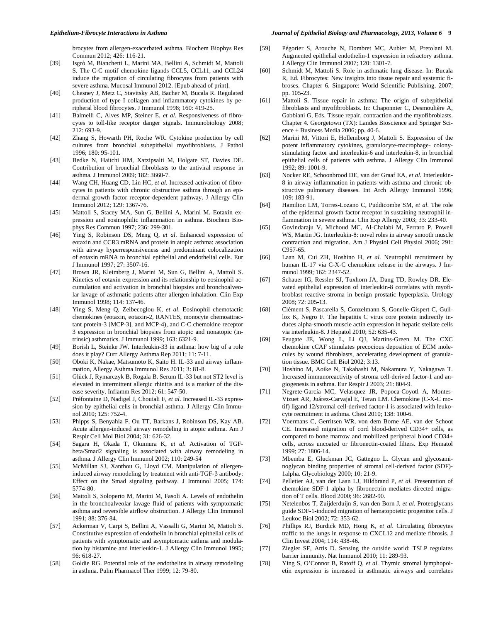brocytes from allergen-exacerbated asthma. Biochem Biophys Res Commun 2012; 426: 116-21.

- [39] Isgrò M, Bianchetti L, Marini MA, Bellini A, Schmidt M, Mattoli S. The C-C motif chemokine ligands CCL5, CCL11, and CCL24 induce the migration of circulating fibrocytes from patients with severe asthma. Mucosal Immunol 2012. [Epub ahead of print].
- [40] Chesney J, Metz C, Stavitsky AB, Bacher M, Bucala R. Regulated production of type I collagen and inflammatory cytokines by peripheral blood fibrocytes. J Immunol 1998; 160: 419-25.
- [41] Balmelli C, Alves MP, Steiner E, *et al*. Responsiveness of fibrocytes to toll-like receptor danger signals. Immunobiology 2008; 212: 693-9.
- [42] Zhang S, Howarth PH, Roche WR. Cytokine production by cell cultures from bronchial subepithelial myofibroblasts. J Pathol 1996; 180: 95-101.
- [43] Bedke N, Haitchi HM, Xatzipsalti M, Holgate ST, Davies DE. Contribution of bronchial fibroblasts to the antiviral response in asthma. J Immunol 2009; 182: 3660-7.
- [44] Wang CH, Huang CD, Lin HC, *et al*. Increased activation of fibrocytes in patients with chronic obstructive asthma through an epidermal growth factor receptor-dependent pathway. J Allergy Clin Immunol 2012; 129: 1367-76.
- [45] Mattoli S, Stacey MA, Sun G, Bellini A, Marini M. Eotaxin expression and eosinophilic inflammation in asthma. Biochem Biophys Res Commun 1997; 236: 299-301.
- [46] Ying S, Robinson DS, Meng Q, *et al*. Enhanced expression of eotaxin and CCR3 mRNA and protein in atopic asthma: association with airway hyperresponsiveness and predominant colocalization of eotaxin mRNA to bronchial epithelial and endothelial cells. Eur J Immunol 1997; 27: 3507-16.
- [47] Brown JR, Kleimberg J, Marini M, Sun G, Bellini A, Mattoli S. Kinetics of eotaxin expression and its relationship to eosinophil accumulation and activation in bronchial biopsies and bronchoalveolar lavage of asthmatic patients after allergen inhalation. Clin Exp Immunol 1998; 114: 137-46.
- [48] Ying S, Meng Q, Zeibecoglou K, *et al*. Eosinophil chemotactic chemokines (eotaxin, eotaxin-2, RANTES, monocyte chemoattractant protein-3 [MCP-3], and MCP-4), and C-C chemokine receptor 3 expression in bronchial biopsies from atopic and nonatopic (intrinsic) asthmatics. J Immunol 1999; 163: 6321-9.
- [49] Borish L, Steinke JW. Interleukin-33 in asthma: how big of a role does it play? Curr Allergy Asthma Rep 2011; 11: 7-11.
- [50] Oboki K, Nakae, Matsumoto K, Saito H. IL-33 and airway inflammation, Allergy Asthma Immunol Res 2011; 3: 81-8.
- [51] Glück J, Rymarczyk B, Rogala B. Serum IL-33 but not ST2 level is elevated in intermittent allergic rhinitis and is a marker of the disease severity. Inflamm Res 2012; 61: 547-50.
- [52] Préfontaine D, Nadigel J, Chouiali F, *et al*. Increased IL-33 expression by epithelial cells in bronchial asthma. J Allergy Clin Immunol 2010; 125: 752-4.
- [53] Phipps S, Benyahia F, Ou TT, Barkans J, Robinson DS, Kay AB. Acute allergen-induced airway remodeling in atopic asthma. Am J Respir Cell Mol Biol 2004; 31: 626-32.
- [54] Sagara H, Okada T, Okumura K, *et al*. Activation of TGFbeta/Smad2 signaling is associated with airway remodeling in asthma. J Allergy Clin Immunol 2002; 110: 249-54
- [55] McMillan SJ, Xanthou G, Lloyd CM. Manipulation of allergeninduced airway remodeling by treatment with anti-TGF- $\beta$  antibody: Effect on the Smad signaling pathway. J Immunol 2005; 174: 5774-80.
- [56] Mattoli S, Soloperto M, Marini M, Fasoli A. Levels of endothelin in the bronchoalveolar lavage fluid of patients with symptomatic asthma and reversible airflow obstruction. J Allergy Clin Immunol 1991; 88: 376-84.
- [57] Ackerman V, Carpi S, Bellini A, Vassalli G, Marini M, Mattoli S. Constitutive expression of endothelin in bronchial epithelial cells of patients with symptomatic and asymptomatic asthma and modulation by histamine and interleukin-1. J Allergy Clin Immunol 1995; 96: 618-27.
- [58] Goldie RG. Potential role of the endothelins in airway remodeling in asthma. Pulm Pharmacol Ther 1999; 12: 79-80.
- [59] Pégorier S, Arouche N, Dombret MC, Aubier M, Pretolani M. Augmented epithelial endothelin-1 expression in refractory asthma. J Allergy Clin Immunol 2007; 120: 1301-7.
- [60] Schmidt M, Mattoli S. Role in asthmatic lung disease. In: Bucala R, Ed. Fibrocytes: New insights into tissue repair and systemic fibroses. Chapter 6. Singapore: World Scientific Publishing. 2007; pp. 105-23.
- [61] Mattoli S. Tissue repair in asthma: The origin of subepithelial fibroblasts and myofibroblasts. In: Chaponnier C, Desmoulière A, Gabbiani G, Eds. Tissue repair, contraction and the myofibroblasts. Chapter 4. Georgetown (TX): Landes Bioscience and Springer Science + Business Media 2006; pp. 40-6.
- [62] Marini M, Vittori E, Hollemborg J, Mattoli S. Expression of the potent inflammatory cytokines, granulocyte-macrophage- colonystimulating factor and interleukin-6 and interleukin-8, in bronchial epithelial cells of patients with asthma. J Allergy Clin Immunol 1992; 89: 1001-9.
- [63] Nocker RE, Schoonbrood DE, van der Graaf EA, *et al*. Interleukin-8 in airway inflammation in patients with asthma and chronic obstructive pulmonary diseases. Int Arch Allergy Immunol 1996; 109: 183-91.
- [64] Hamilton LM, Torres-Lozano C, Puddicombe SM, *et al*. The role of the epidermal growth factor receptor in sustaining neutrophil inflammation in severe asthma. Clin Exp Allergy 2003; 33: 233-40.
- [65] Govindaraju V, Michoud MC, Al-Chalabi M, Ferraro P, Powell WS, Martin JG. Interleukin-8: novel roles in airway smooth muscle contraction and migration. Am J Physiol Cell Physiol 2006; 291: C957-65.
- [66] Laan M, Cui ZH, Hoshino H, *et al*. Neutrophil recruitment by human IL-17 via C-X-C chemokine release in the airways. J Immunol 1999; 162: 2347-52.
- [67] Schauer IG, Ressler SJ, Tuxhorn JA, Dang TD, Rowley DR. Elevated epithelial expression of interleukin-8 correlates with myofibroblast reactive stroma in benign prostatic hyperplasia. Urology 2008; 72: 205-13.
- [68] Clément S, Pascarella S, Conzelmann S, Gonelle-Gispert C, Guillox K, Negro F. The hepatitis C virus core protein indirectly induces alpha-smooth muscle actin expression in hepatic stellate cells via interleukin-8. J Hepatol 2010; 52: 635-43.
- [69] Feugate JE, Wong L, Li QJ, Martins-Green M. The CXC chemokine cCAF stimulates precocious deposition of ECM molecules by wound fibroblasts, accelerating development of granulation tissue. BMC Cell Biol 2002; 3:13.
- [70] Hoshino M, Aoike N, Takahashi M, Nakamura Y, Nakagawa T. Increased immunoreactivity of stroma cell-derived factor-1 and angiogenesis in asthma. Eur Respir J 2003; 21: 804-9.
- [71] Negrete-García MC, Velasquez JR, Popoca-Coyotl A, Montes-Vizuet AR, Juárez-Carvajal E, Teran LM. Chemokine (C-X-C motif) ligand 12/stromal cell-derived factor-1 is associated with leukocyte recruitment in asthma. Chest 2010; 138: 100-6.
- [72] Voermans C, Gerritsen WR, von dem Borne AE, van der Schoot CE. Increased migration of cord blood-derived CD34+ cells, as compared to bone marrow and mobilized peripheral blood CD34+ cells, across uncoated or fibronectin-coated filters. Exp Hematol 1999; 27: 1806-14.
- [73] Mbemba E, Gluckman JC, Gattegno L. Glycan and glycosaminoglycan binding properties of stromal cell-derived factor (SDF)- 1alpha. Glycobiology 2000; 10: 21-9.
- [74] Pelletier AJ, van der Laan LJ, Hildbrand P, *et al*. Presentation of chemokine SDF-1 alpha by fibronectrin mediates directed migration of T cells. Blood 2000; 96: 2682-90.
- [75] Netelenbos T, Zuijderduijn S, van den Born J, *et al*. Proteoglycans guide SDF-1-induced migration of hematopoietic progenitor cells. J Leukoc Biol 2002; 72: 353-62.
- [76] Phillips RJ, Burdick MD, Hong K, *et al*. Circulating fibrocytes traffic to the lungs in response to CXCL12 and mediate fibrosis. J Clin Invest 2004; 114: 438-46.
- [77] Ziegler SF, Artis D. Sensing the outside world: TSLP regulates barrier immunity. Nat Immunol 2010; 11: 289-93.
- [78] Ying S, O'Connor B, Ratoff Q, *et al*. Thymic stromal lymphopoietin expression is increased in asthmatic airways and correlates